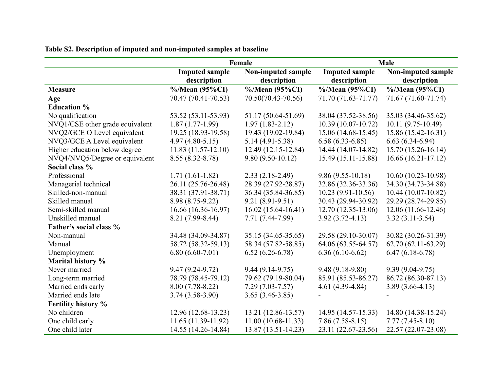|                                 | Female                |                           | <b>Male</b>           |                      |  |
|---------------------------------|-----------------------|---------------------------|-----------------------|----------------------|--|
|                                 | <b>Imputed sample</b> | <b>Non-imputed sample</b> | <b>Imputed sample</b> | Non-imputed sample   |  |
|                                 | description           | description               | description           | description          |  |
| <b>Measure</b>                  | $\%$ /Mean (95%CI)    | %/Mean (95%CI)            | $\%$ /Mean (95%CI)    | %/Mean (95%CI)       |  |
| Age                             | 70.47 (70.41-70.53)   | 70.50(70.43-70.56)        | 71.70 (71.63-71.77)   | 71.67 (71.60-71.74)  |  |
| <b>Education %</b>              |                       |                           |                       |                      |  |
| No qualification                | 53.52 (53.11-53.93)   | 51.17 (50.64-51.69)       | 38.04 (37.52-38.56)   | 35.03 (34.46-35.62)  |  |
| NVQ1/CSE other grade equivalent | $1.87(1.77-1.99)$     | $1.97(1.83 - 2.12)$       | $10.39(10.07-10.72)$  | $10.11(9.75-10.49)$  |  |
| NVQ2/GCE O Level equivalent     | 19.25 (18.93-19.58)   | 19.43 (19.02-19.84)       | $15.06(14.68-15.45)$  | 15.86 (15.42-16.31)  |  |
| NVQ3/GCE A Level equivalent     | $4.97(4.80 - 5.15)$   | $5.14(4.91 - 5.38)$       | $6.58(6.33-6.85)$     | $6.63(6.34-6.94)$    |  |
| Higher education below degree   | $11.83(11.57-12.10)$  | 12.49 (12.15-12.84)       | 14.44 (14.07-14.82)   | 15.70 (15.26-16.14)  |  |
| NVQ4/NVQ5/Degree or equivalent  | $8.55(8.32 - 8.78)$   | $9.80(9.50-10.12)$        | $15.49(15.11-15.88)$  | $16.66(16.21-17.12)$ |  |
| Social class %                  |                       |                           |                       |                      |  |
| Professional                    | $1.71(1.61-1.82)$     | $2.33(2.18-2.49)$         | $9.86(9.55-10.18)$    | $10.60(10.23-10.98)$ |  |
| Managerial technical            | 26.11 (25.76-26.48)   | 28.39 (27.92-28.87)       | 32.86 (32.36-33.36)   | 34.30 (34.73-34.88)  |  |
| Skilled-non-manual              | 38.31 (37.91-38.71)   | 36.34 (35.84-36.85)       | $10.23(9.91-10.56)$   | 10.44 (10.07-10.82)  |  |
| Skilled manual                  | 8.98 (8.75-9.22)      | $9.21(8.91-9.51)$         | 30.43 (29.94-30.92)   | 29.29 (28.74-29.85)  |  |
| Semi-skilled manual             | $16.66(16.36-16.97)$  | $16.02(15.64 - 16.41)$    | 12.70 (12.35-13.06)   | $12.06(11.66-12.46)$ |  |
| Unskilled manual                | 8.21 (7.99-8.44)      | 7.71 (7.44-7.99)          | $3.92(3.72 - 4.13)$   | $3.32(3.11-3.54)$    |  |
| Father's social class %         |                       |                           |                       |                      |  |
| Non-manual                      | 34.48 (34.09-34.87)   | 35.15 (34.65-35.65)       | 29.58 (29.10-30.07)   | 30.82 (30.26-31.39)  |  |
| Manual                          | 58.72 (58.32-59.13)   | 58.34 (57.82-58.85)       | 64.06 (63.55-64.57)   | $62.70(62.11-63.29)$ |  |
| Unemployment                    | $6.80(6.60-7.01)$     | $6.52(6.26-6.78)$         | $6.36(6.10-6.62)$     | $6.47(6.18-6.78)$    |  |
| Marital history %               |                       |                           |                       |                      |  |
| Never married                   | $9.47(9.24 - 9.72)$   | $9.44(9.14-9.75)$         | $9.48(9.18-9.80)$     | $9.39(9.04-9.75)$    |  |
| Long-term married               | 78.79 (78.45-79.12)   | 79.62 (79.19-80.04)       | 85.91 (85.53-86.27)   | 86.72 (86.30-87.13)  |  |
| Married ends early              | $8.00(7.78-8.22)$     | $7.29(7.03 - 7.57)$       | $4.61(4.39-4.84)$     | $3.89(3.66 - 4.13)$  |  |
| Married ends late               | $3.74(3.58-3.90)$     | $3.65(3.46-3.85)$         |                       |                      |  |
| Fertility history %             |                       |                           |                       |                      |  |
| No children                     | $12.96(12.68-13.23)$  | 13.21 (12.86-13.57)       | 14.95 (14.57-15.33)   | 14.80 (14.38-15.24)  |  |
| One child early                 | 11.65 (11.39-11.92)   | $11.00(10.68-11.33)$      | $7.86(7.58-8.15)$     | $7.77(7.45-8.10)$    |  |
| One child later                 | 14.55 (14.26-14.84)   | 13.87 (13.51-14.23)       | 23.11 (22.67-23.56)   | 22.57 (22.07-23.08)  |  |

**Table S2. Description of imputed and non-imputed samples at baseline**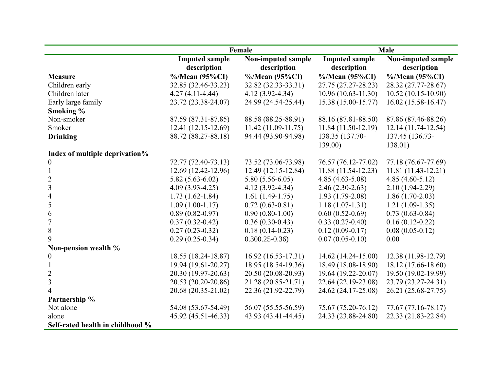|                                  | Female                |                        | <b>Male</b>           |                      |
|----------------------------------|-----------------------|------------------------|-----------------------|----------------------|
|                                  | <b>Imputed sample</b> | Non-imputed sample     | <b>Imputed sample</b> | Non-imputed sample   |
|                                  | description           | description            | description           | description          |
| <b>Measure</b>                   | $\%$ /Mean (95%CI)    | %/Mean (95%CI)         | $\%$ /Mean (95%CI)    | %/Mean (95%CI)       |
| Children early                   | 32.85 (32.46-33.23)   | 32.82 (32.33-33.31)    | 27.75 (27.27-28.23)   | 28.32 (27.77-28.67)  |
| Children later                   | $4.27(4.11-4.44)$     | $4.12(3.92 - 4.34)$    | 10.96 (10.63-11.30)   | $10.52(10.15-10.90)$ |
| Early large family               | 23.72 (23.38-24.07)   | 24.99 (24.54-25.44)    | 15.38 (15.00-15.77)   | $16.02(15.58-16.47)$ |
| Smoking %                        |                       |                        |                       |                      |
| Non-smoker                       | 87.59 (87.31-87.85)   | 88.58 (88.25-88.91)    | 88.16 (87.81-88.50)   | 87.86 (87.46-88.26)  |
| Smoker                           | 12.41 (12.15-12.69)   | $11.42(11.09-11.75)$   | 11.84 (11.50-12.19)   | $12.14(11.74-12.54)$ |
| <b>Drinking</b>                  | 88.72 (88.27-88.18)   | 94.44 (93.90-94.98)    | 138.35 (137.70-       | 137.45 (136.73-      |
|                                  |                       |                        | 139.00                | 138.01)              |
| Index of multiple deprivation%   |                       |                        |                       |                      |
| $\boldsymbol{0}$                 | 72.77 (72.40-73.13)   | 73.52 (73.06-73.98)    | 76.57 (76.12-77.02)   | 77.18 (76.67-77.69)  |
|                                  | 12.69 (12.42-12.96)   | 12.49 (12.15-12.84)    | 11.88 (11.54-12.23)   | $11.81(11.43-12.21)$ |
| $\overline{2}$                   | $5.82(5.63 - 6.02)$   | $5.80(5.56-6.05)$      | $4.85(4.63-5.08)$     | $4.85(4.60-5.12)$    |
| $\overline{\mathbf{3}}$          | $4.09(3.93-4.25)$     | $4.12(3.92 - 4.34)$    | $2.46(2.30-2.63)$     | $2.10(1.94-2.29)$    |
| $\overline{4}$                   | $1.73(1.62-1.84)$     | $1.61(1.49-1.75)$      | $1.93(1.79-2.08)$     | $1.86(1.70-2.03)$    |
| 5                                | $1.09(1.00-1.17)$     | $0.72(0.63-0.81)$      | $1.18(1.07-1.31)$     | $1.21(1.09-1.35)$    |
| 6                                | $0.89(0.82 - 0.97)$   | $0.90(0.80-1.00)$      | $0.60(0.52-0.69)$     | $0.73(0.63-0.84)$    |
| $\overline{7}$                   | $0.37(0.32 - 0.42)$   | $0.36(0.30-0.43)$      | $0.33(0.27-0.40)$     | $0.16(0.12-0.22)$    |
| $\,8\,$                          | $0.27(0.23-0.32)$     | $0.18(0.14-0.23)$      | $0.12(0.09-0.17)$     | $0.08(0.05-0.12)$    |
| 9                                | $0.29(0.25-0.34)$     | $0.300.25 - 0.36$      | $0.07(0.05-0.10)$     | 0.00                 |
| Non-pension wealth %             |                       |                        |                       |                      |
| $\theta$                         | 18.55 (18.24-18.87)   | $16.92(16.53 - 17.31)$ | $14.62(14.24-15.00)$  | 12.38 (11.98-12.79)  |
|                                  | 19.94 (19.61-20.27)   | 18.95 (18.54-19.36)    | 18.49 (18.08-18.90)   | 18.12 (17.66-18.60)  |
| $\overline{2}$                   | 20.30 (19.97-20.63)   | 20.50 (20.08-20.93)    | 19.64 (19.22-20.07)   | 19.50 (19.02-19.99)  |
| 3                                | 20.53 (20.20-20.86)   | 21.28 (20.85-21.71)    | 22.64 (22.19-23.08)   | 23.79 (23.27-24.31)  |
| $\overline{4}$                   | 20.68 (20.35-21.02)   | 22.36 (21.92-22.79)    | 24.62 (24.17-25.08)   | 26.21 (25.68-27.75)  |
| Partnership %                    |                       |                        |                       |                      |
| Not alone                        | 54.08 (53.67-54.49)   | 56.07 (55.55-56.59)    | 75.67 (75.20-76.12)   | 77.67 (77.16-78.17)  |
| alone                            | 45.92 (45.51-46.33)   | 43.93 (43.41-44.45)    | 24.33 (23.88-24.80)   | 22.33 (21.83-22.84)  |
| Self-rated health in childhood % |                       |                        |                       |                      |